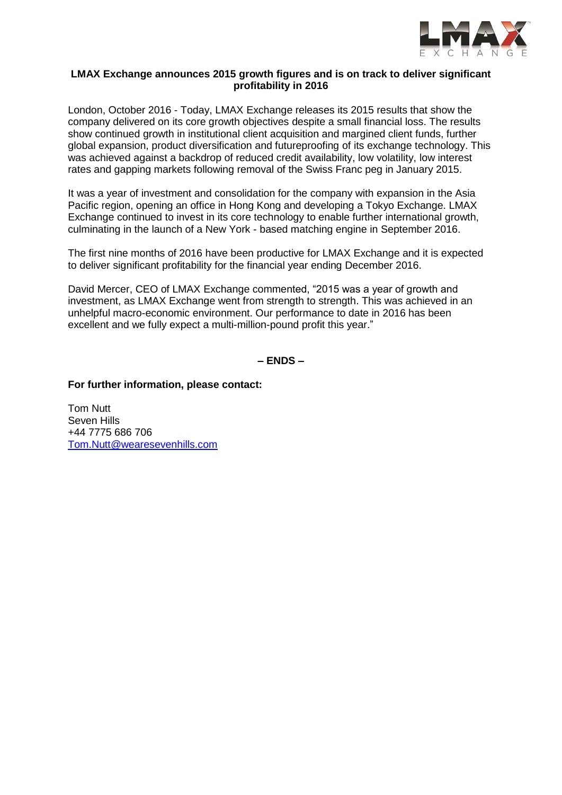

### **LMAX Exchange announces 2015 growth figures and is on track to deliver significant profitability in 2016**

London, October 2016 - Today, LMAX Exchange releases its 2015 results that show the company delivered on its core growth objectives despite a small financial loss. The results show continued growth in institutional client acquisition and margined client funds, further global expansion, product diversification and futureproofing of its exchange technology. This was achieved against a backdrop of reduced credit availability, low volatility, low interest rates and gapping markets following removal of the Swiss Franc peg in January 2015.

It was a year of investment and consolidation for the company with expansion in the Asia Pacific region, opening an office in Hong Kong and developing a Tokyo Exchange. LMAX Exchange continued to invest in its core technology to enable further international growth, culminating in the launch of a New York - based matching engine in September 2016.

The first nine months of 2016 have been productive for LMAX Exchange and it is expected to deliver significant profitability for the financial year ending December 2016.

David Mercer, CEO of LMAX Exchange commented, "2015 was a year of growth and investment, as LMAX Exchange went from strength to strength. This was achieved in an unhelpful macro-economic environment. Our performance to date in 2016 has been excellent and we fully expect a multi-million-pound profit this year."

**– ENDS –**

**For further information, please contact:** 

Tom Nutt Seven Hills +44 7775 686 706 [Tom.Nutt@wearesevenhills.com](mailto:Tom.Nutt@wearesevenhills.com)